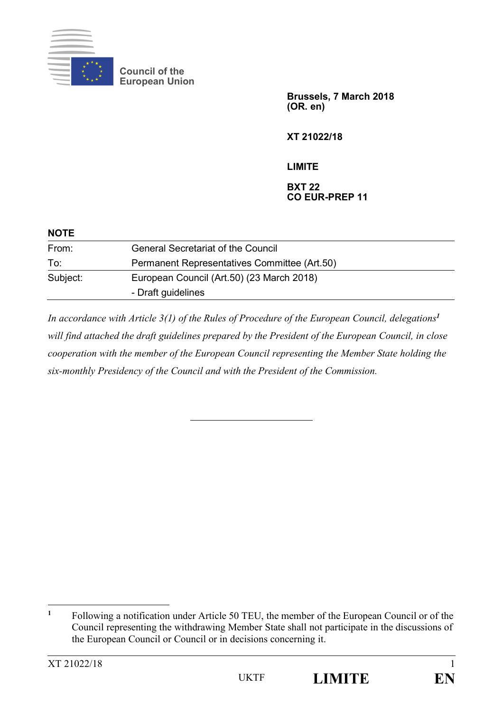

**Council of the European Union**

> **Brussels, 7 March 2018 (OR. en)**

**XT 21022/18**

## **LIMITE**

## **BXT 22 CO EUR-PREP 11**

| <b>NOTE</b> |                                              |
|-------------|----------------------------------------------|
| From:       | <b>General Secretariat of the Council</b>    |
| To:         | Permanent Representatives Committee (Art.50) |
| Subject:    | European Council (Art.50) (23 March 2018)    |
|             | - Draft guidelines                           |

*In accordance with Article 3(1) of the Rules of Procedure of the European Council, delegations<sup>1</sup> will find attached the draft guidelines prepared by the President of the European Council, in close cooperation with the member of the European Council representing the Member State holding the six-monthly Presidency of the Council and with the President of the Commission.*

 $\overline{a}$ 

**<sup>1</sup>** Following a notification under Article 50 TEU, the member of the European Council or of the Council representing the withdrawing Member State shall not participate in the discussions of the European Council or Council or in decisions concerning it.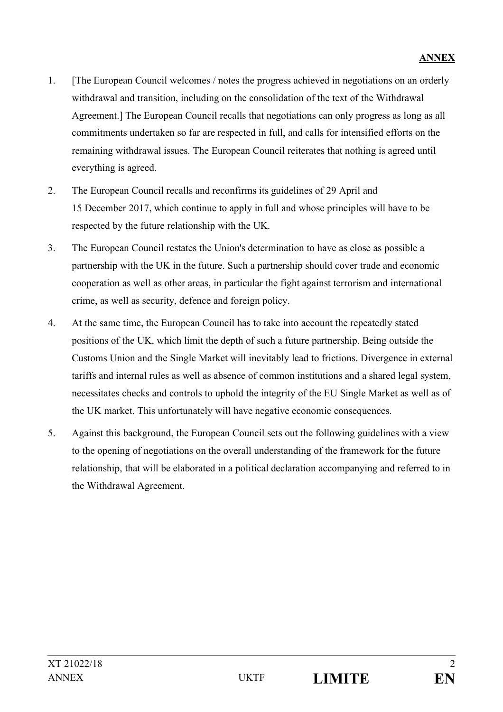- 1. [The European Council welcomes / notes the progress achieved in negotiations on an orderly withdrawal and transition, including on the consolidation of the text of the Withdrawal Agreement.] The European Council recalls that negotiations can only progress as long as all commitments undertaken so far are respected in full, and calls for intensified efforts on the remaining withdrawal issues. The European Council reiterates that nothing is agreed until everything is agreed.
- 2. The European Council recalls and reconfirms its guidelines of 29 April and 15 December 2017, which continue to apply in full and whose principles will have to be respected by the future relationship with the UK.
- 3. The European Council restates the Union's determination to have as close as possible a partnership with the UK in the future. Such a partnership should cover trade and economic cooperation as well as other areas, in particular the fight against terrorism and international crime, as well as security, defence and foreign policy.
- 4. At the same time, the European Council has to take into account the repeatedly stated positions of the UK, which limit the depth of such a future partnership. Being outside the Customs Union and the Single Market will inevitably lead to frictions. Divergence in external tariffs and internal rules as well as absence of common institutions and a shared legal system, necessitates checks and controls to uphold the integrity of the EU Single Market as well as of the UK market. This unfortunately will have negative economic consequences.
- 5. Against this background, the European Council sets out the following guidelines with a view to the opening of negotiations on the overall understanding of the framework for the future relationship, that will be elaborated in a political declaration accompanying and referred to in the Withdrawal Agreement.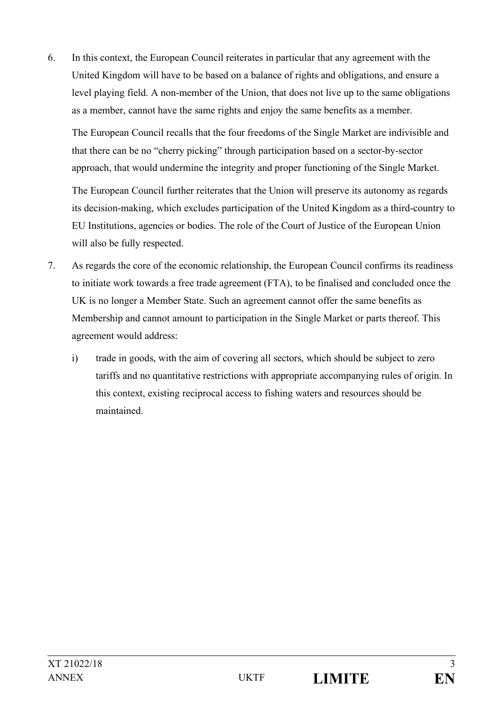6. In this context, the European Council reiterates in particular that any agreement with the United Kingdom will have to be based on a balance of rights and obligations, and ensure a level playing field. A non-member of the Union, that does not live up to the same obligations as a member, cannot have the same rights and enjoy the same benefits as a member.

The European Council recalls that the four freedoms of the Single Market are indivisible and that there can be no "cherry picking" through participation based on a sector-by-sector approach, that would undermine the integrity and proper functioning of the Single Market.

The European Council further reiterates that the Union will preserve its autonomy as regards its decision-making, which excludes participation of the United Kingdom as a third-country to EU Institutions, agencies or bodies. The role of the Court of Justice of the European Union will also be fully respected.

- 7. As regards the core of the economic relationship, the European Council confirms its readiness to initiate work towards a free trade agreement (FTA), to be finalised and concluded once the UK is no longer a Member State. Such an agreement cannot offer the same benefits as Membership and cannot amount to participation in the Single Market or parts thereof. This agreement would address:
	- i) trade in goods, with the aim of covering all sectors, which should be subject to zero tariffs and no quantitative restrictions with appropriate accompanying rules of origin. In this context, existing reciprocal access to fishing waters and resources should be maintained.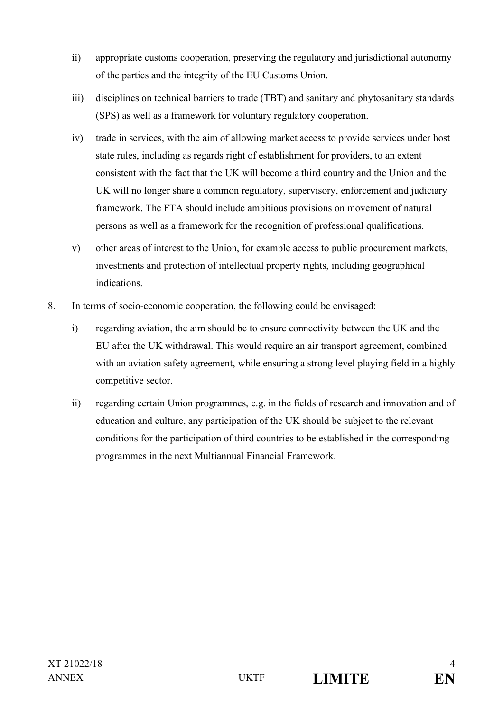- ii) appropriate customs cooperation, preserving the regulatory and jurisdictional autonomy of the parties and the integrity of the EU Customs Union.
- iii) disciplines on technical barriers to trade (TBT) and sanitary and phytosanitary standards (SPS) as well as a framework for voluntary regulatory cooperation.
- iv) trade in services, with the aim of allowing market access to provide services under host state rules, including as regards right of establishment for providers, to an extent consistent with the fact that the UK will become a third country and the Union and the UK will no longer share a common regulatory, supervisory, enforcement and judiciary framework. The FTA should include ambitious provisions on movement of natural persons as well as a framework for the recognition of professional qualifications.
- v) other areas of interest to the Union, for example access to public procurement markets, investments and protection of intellectual property rights, including geographical indications.
- 8. In terms of socio-economic cooperation, the following could be envisaged:
	- i) regarding aviation, the aim should be to ensure connectivity between the UK and the EU after the UK withdrawal. This would require an air transport agreement, combined with an aviation safety agreement, while ensuring a strong level playing field in a highly competitive sector.
	- ii) regarding certain Union programmes, e.g. in the fields of research and innovation and of education and culture, any participation of the UK should be subject to the relevant conditions for the participation of third countries to be established in the corresponding programmes in the next Multiannual Financial Framework.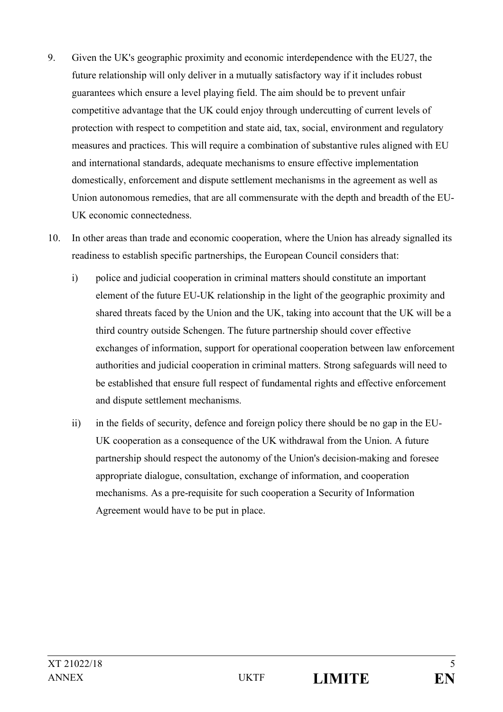- 9. Given the UK's geographic proximity and economic interdependence with the EU27, the future relationship will only deliver in a mutually satisfactory way if it includes robust guarantees which ensure a level playing field. The aim should be to prevent unfair competitive advantage that the UK could enjoy through undercutting of current levels of protection with respect to competition and state aid, tax, social, environment and regulatory measures and practices. This will require a combination of substantive rules aligned with EU and international standards, adequate mechanisms to ensure effective implementation domestically, enforcement and dispute settlement mechanisms in the agreement as well as Union autonomous remedies, that are all commensurate with the depth and breadth of the EU-UK economic connectedness.
- 10. In other areas than trade and economic cooperation, where the Union has already signalled its readiness to establish specific partnerships, the European Council considers that:
	- i) police and judicial cooperation in criminal matters should constitute an important element of the future EU-UK relationship in the light of the geographic proximity and shared threats faced by the Union and the UK, taking into account that the UK will be a third country outside Schengen. The future partnership should cover effective exchanges of information, support for operational cooperation between law enforcement authorities and judicial cooperation in criminal matters. Strong safeguards will need to be established that ensure full respect of fundamental rights and effective enforcement and dispute settlement mechanisms.
	- ii) in the fields of security, defence and foreign policy there should be no gap in the EU-UK cooperation as a consequence of the UK withdrawal from the Union. A future partnership should respect the autonomy of the Union's decision-making and foresee appropriate dialogue, consultation, exchange of information, and cooperation mechanisms. As a pre-requisite for such cooperation a Security of Information Agreement would have to be put in place.